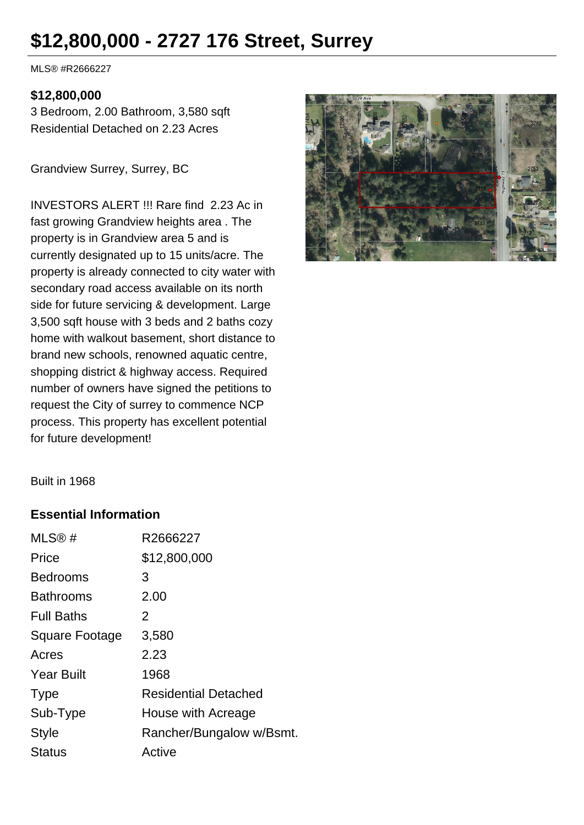# **\$12,800,000 - 2727 176 Street, Surrey**

MLS® #R2666227

#### **\$12,800,000**

3 Bedroom, 2.00 Bathroom, 3,580 sqft Residential Detached on 2.23 Acres

Grandview Surrey, Surrey, BC

INVESTORS ALERT !!! Rare find 2.23 Ac in fast growing Grandview heights area . The property is in Grandview area 5 and is currently designated up to 15 units/acre. The property is already connected to city water with secondary road access available on its north side for future servicing & development. Large 3,500 sqft house with 3 beds and 2 baths cozy home with walkout basement, short distance to brand new schools, renowned aquatic centre, shopping district & highway access. Required number of owners have signed the petitions to request the City of surrey to commence NCP process. This property has excellent potential for future development!



Built in 1968

#### **Essential Information**

| MLS@#                 | R2666227                    |
|-----------------------|-----------------------------|
| Price                 | \$12,800,000                |
| <b>Bedrooms</b>       | 3                           |
| <b>Bathrooms</b>      | 2.00                        |
| <b>Full Baths</b>     | 2                           |
| <b>Square Footage</b> | 3,580                       |
| Acres                 | 2.23                        |
| <b>Year Built</b>     | 1968                        |
| <b>Type</b>           | <b>Residential Detached</b> |
| Sub-Type              | House with Acreage          |
| Style                 | Rancher/Bungalow w/Bsmt.    |
| <b>Status</b>         | Active                      |
|                       |                             |